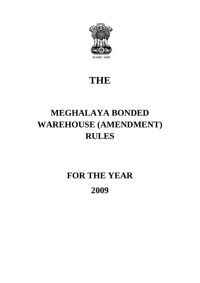

### **THE**

## **MEGHALAYA BONDED WAREHOUSE (AMENDMENT) RULES**

# **FOR THE YEAR 2009**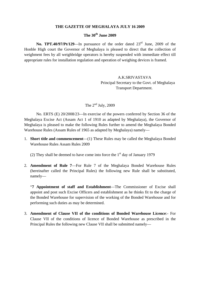#### **THE GAZETTE OF MEGHALAYA JULY 16 2009**

#### **The 30th June 2009**

No. TPT.40/97/Pt/129—In pursuance of the order dated 23<sup>rd</sup> June, 2009 of the Honble High court the Governor of Meghalaya is pleased to direct that the collection of weighment fees by all weighbridge operators is hereby suspended with immediate effect till appropriate rules for installation regulation and operation of weighing devices is framed.

> A.K.SRIVASTAVA Principal Secretary to the Govt. of Meghalaya Transport Department.

### The  $2<sup>nd</sup>$  July, 2009

No. ERTS (E) 20/2008/23—In exercise of the powers conferred by Section 36 of the Meghalaya Excise Act (Assam Act 1 of 1910 as adapted by Meghalaya), the Governor of Meghalaya is pleased to make the following Rules further to amend the Meghalaya Bonded Warehouse Rules (Assam Rules of 1965 as adapted by Meghalaya) namely—

1. **Short title and commencement**—(1) These Rules may be called the Meghalaya Bonded Warehouse Rules Assam Rules 2009

(2) They shall be deemed to have come into force the  $1<sup>st</sup>$  day of January 1979

2. **Amendment of Rule 7**—For Rule 7 of the Meghalaya Bonded Warehouse Rules (hereinafter called the Principal Rules) the following new Rule shall be substituted, namely—

"**7 Appointment of staff and Establishment**—The Commissioner of Excise shall appoint and post such Excise Officers and establishment as he thinks fit to the charge of the Bonded Warehouse for supervision of the working of the Bonded Warehouse and for performing such duties as may be determined.

3. **Amendment of Clause VII of the conditions of Bonded Warehouse Licence**:- For Clause VII of the conditions of licence of Bonded Warehouse as prescribed in the Principal Rules the following new Clause VII shall be submitted namely